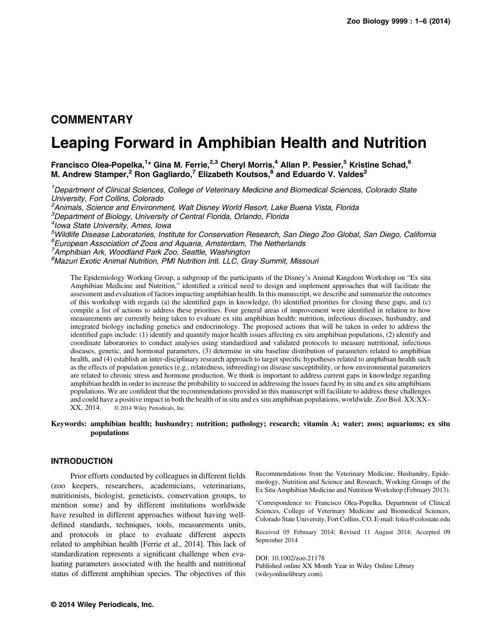## **COMMENTARY**

# Leaping Forward in Amphibian Health and Nutrition

Francisco Olea-Popelka,<sup>1</sup>\* Gina M. Ferrie,<sup>2,3</sup> Cheryl Morris,<sup>4</sup> Allan P. Pessier,<sup>5</sup> Kristine Schad,<sup>6</sup> M. Andrew Stamper,<sup>2</sup> Ron Gagliardo,<sup>7</sup> Elizabeth Koutsos,<sup>8</sup> and Eduardo V. Valdes<sup>2</sup>

<sup>1</sup>Department of Clinical Sciences, College of Veterinary Medicine and Biomedical Sciences, Colorado State University, Fort Collins, Colorado

<sup>2</sup> Animals, Science and Environment, Walt Disney World Resort, Lake Buena Vista, Florida

<sup>3</sup>Department of Biology, University of Central Florida, Orlando, Florida

4 Iowa State University, Ames, Iowa

<sup>5</sup>Wildlife Disease Laboratories, Institute for Conservation Research, San Diego Zoo Global, San Diego, California 6 European Association of Zoos and Aquaria, Amsterdam, The Netherlands

<sup>7</sup> Amphibian Ark, Woodland Park Zoo, Seattle, Washington

<sup>8</sup>Mazuri Exotic Animal Nutrition, PMI Nutrition Intl. LLC, Gray Summit, Missouri

The Epidemiology Working Group, a subgroup of the participants of the Disney's Animal Kingdom Workshop on "Ex situ Amphibian Medicine and Nutrition," identified a critical need to design and implement approaches that will facilitate the assessment and evaluation of factors impacting amphibian health. In this manuscript, we describe and summarize the outcomes of this workshop with regards (a) the identified gaps in knowledge, (b) identified priorities for closing these gaps, and (c) compile a list of actions to address these priorities. Four general areas of improvement were identified in relation to how measurements are currently being taken to evaluate ex situ amphibian health: nutrition, infectious diseases, husbandry, and integrated biology including genetics and endocrinology. The proposed actions that will be taken in order to address the identified gaps include: (1) identify and quantify major health issues affecting ex situ amphibian populations, (2) identify and coordinate laboratories to conduct analyses using standardized and validated protocols to measure nutritional, infectious diseases, genetic, and hormonal parameters, (3) determine in situ baseline distribution of parameters related to amphibian health, and (4) establish an inter-disciplinary research approach to target specific hypotheses related to amphibian health such as the effects of population genetics (e.g., relatedness, inbreeding) on disease susceptibility, or how environmental parameters are related to chronic stress and hormone production. We think is important to address current gaps in knowledge regarding amphibian health in order to increase the probability to succeed in addressing the issues faced by in situ and ex situ amphibians populations. We are confident that the recommendations provided in this manuscript will facilitate to address these challenges and could have a positive impact in both the health of in situ and ex situ amphibian populations, worldwide. Zoo Biol. XX:XX– XX, 2014. © 2014 Wiley Periodicals, Inc.

#### Keywords: amphibian health; husbandry; nutrition; pathology; research; vitamin A; water; zoos; aquariums; ex situ populations

#### INTRODUCTION

Prior efforts conducted by colleagues in different fields (zoo keepers, researchers, academicians, veterinarians, nutritionists, biologist, geneticists, conservation groups, to mention some) and by different institutions worldwide have resulted in different approaches without having welldefined standards, techniques, tools, measurements units, and protocols in place to evaluate different aspects related to amphibian health [Ferrie et al., 2014]. This lack of standardization represents a significant challenge when evaluating parameters associated with the health and nutritional status of different amphibian species. The objectives of this Recommendations from the Veterinary Medicine, Husbandry, Epidemiology, Nutrition and Science and Research, Working Groups of the Ex Situ Amphibian Medicine and Nutrition Workshop (February 2013).

!Correspondence to: Francisco Olea‐Popelka, Department of Clinical Sciences, College of Veterinary Medicine and Biomedical Sciences, Colorado State University, Fort Collins, CO. E‐mail: folea@colostate.edu

Received 05 February 2014; Revised 11 August 2014; Accepted 09 September 2014

DOI: 10.1002/zoo.21178 Published online XX Month Year in Wiley Online Library (wileyonlinelibrary.com).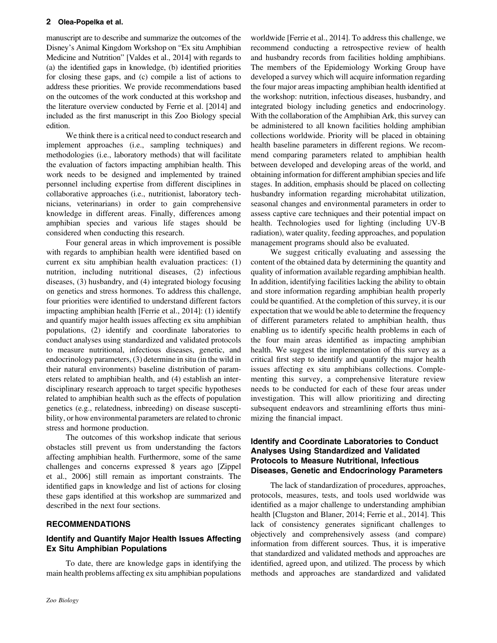#### 2 Olea‐Popelka et al.

manuscript are to describe and summarize the outcomes of the Disney's Animal Kingdom Workshop on "Ex situ Amphibian Medicine and Nutrition" [Valdes et al., 2014] with regards to (a) the identified gaps in knowledge, (b) identified priorities for closing these gaps, and (c) compile a list of actions to address these priorities. We provide recommendations based on the outcomes of the work conducted at this workshop and the literature overview conducted by Ferrie et al. [2014] and included as the first manuscript in this Zoo Biology special edition.

We think there is a critical need to conduct research and implement approaches (i.e., sampling techniques) and methodologies (i.e., laboratory methods) that will facilitate the evaluation of factors impacting amphibian health. This work needs to be designed and implemented by trained personnel including expertise from different disciplines in collaborative approaches (i.e., nutritionist, laboratory technicians, veterinarians) in order to gain comprehensive knowledge in different areas. Finally, differences among amphibian species and various life stages should be considered when conducting this research.

Four general areas in which improvement is possible with regards to amphibian health were identified based on current ex situ amphibian health evaluation practices: (1) nutrition, including nutritional diseases, (2) infectious diseases, (3) husbandry, and (4) integrated biology focusing on genetics and stress hormones. To address this challenge, four priorities were identified to understand different factors impacting amphibian health [Ferrie et al., 2014]: (1) identify and quantify major health issues affecting ex situ amphibian populations, (2) identify and coordinate laboratories to conduct analyses using standardized and validated protocols to measure nutritional, infectious diseases, genetic, and endocrinology parameters, (3) determine in situ (in the wild in their natural environments) baseline distribution of parameters related to amphibian health, and (4) establish an inter‐ disciplinary research approach to target specific hypotheses related to amphibian health such as the effects of population genetics (e.g., relatedness, inbreeding) on disease susceptibility, or how environmental parameters are related to chronic stress and hormone production.

The outcomes of this workshop indicate that serious obstacles still prevent us from understanding the factors affecting amphibian health. Furthermore, some of the same challenges and concerns expressed 8 years ago [Zippel et al., 2006] still remain as important constraints. The identified gaps in knowledge and list of actions for closing these gaps identified at this workshop are summarized and described in the next four sections.

## RECOMMENDATIONS

## Identify and Quantify Major Health Issues Affecting Ex Situ Amphibian Populations

To date, there are knowledge gaps in identifying the main health problems affecting ex situ amphibian populations worldwide [Ferrie et al., 2014]. To address this challenge, we recommend conducting a retrospective review of health and husbandry records from facilities holding amphibians. The members of the Epidemiology Working Group have developed a survey which will acquire information regarding the four major areas impacting amphibian health identified at the workshop: nutrition, infectious diseases, husbandry, and integrated biology including genetics and endocrinology. With the collaboration of the Amphibian Ark, this survey can be administered to all known facilities holding amphibian collections worldwide. Priority will be placed in obtaining health baseline parameters in different regions. We recommend comparing parameters related to amphibian health between developed and developing areas of the world, and obtaining information for different amphibian species and life stages. In addition, emphasis should be placed on collecting husbandry information regarding microhabitat utilization, seasonal changes and environmental parameters in order to assess captive care techniques and their potential impact on health. Technologies used for lighting (including UV‐B radiation), water quality, feeding approaches, and population management programs should also be evaluated.

We suggest critically evaluating and assessing the content of the obtained data by determining the quantity and quality of information available regarding amphibian health. In addition, identifying facilities lacking the ability to obtain and store information regarding amphibian health properly could be quantified. At the completion of this survey, it is our expectation that we would be able to determine the frequency of different parameters related to amphibian health, thus enabling us to identify specific health problems in each of the four main areas identified as impacting amphibian health. We suggest the implementation of this survey as a critical first step to identify and quantify the major health issues affecting ex situ amphibians collections. Complementing this survey, a comprehensive literature review needs to be conducted for each of these four areas under investigation. This will allow prioritizing and directing subsequent endeavors and streamlining efforts thus minimizing the financial impact.

## Identify and Coordinate Laboratories to Conduct Analyses Using Standardized and Validated Protocols to Measure Nutritional, Infectious Diseases, Genetic and Endocrinology Parameters

The lack of standardization of procedures, approaches, protocols, measures, tests, and tools used worldwide was identified as a major challenge to understanding amphibian health [Clugston and Blaner, 2014; Ferrie et al., 2014]. This lack of consistency generates significant challenges to objectively and comprehensively assess (and compare) information from different sources. Thus, it is imperative that standardized and validated methods and approaches are identified, agreed upon, and utilized. The process by which methods and approaches are standardized and validated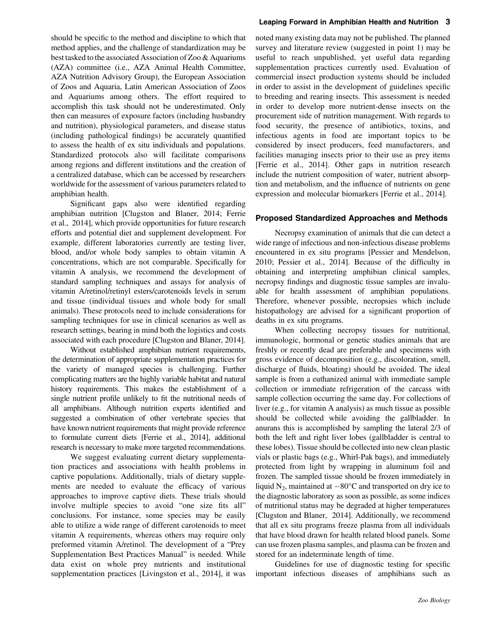should be specific to the method and discipline to which that method applies, and the challenge of standardization may be best tasked to the associated Association of Zoo & Aquariums (AZA) committee (i.e., AZA Animal Health Committee, AZA Nutrition Advisory Group), the European Association of Zoos and Aquaria, Latin American Association of Zoos and Aquariums among others. The effort required to accomplish this task should not be underestimated. Only then can measures of exposure factors (including husbandry and nutrition), physiological parameters, and disease status (including pathological findings) be accurately quantified to assess the health of ex situ individuals and populations. Standardized protocols also will facilitate comparisons among regions and different institutions and the creation of a centralized database, which can be accessed by researchers worldwide for the assessment of various parameters related to amphibian health.

Significant gaps also were identified regarding amphibian nutrition [Clugston and Blaner, 2014; Ferrie et al., 2014], which provide opportunities for future research efforts and potential diet and supplement development. For example, different laboratories currently are testing liver, blood, and/or whole body samples to obtain vitamin A concentrations, which are not comparable. Specifically for vitamin A analysis, we recommend the development of standard sampling techniques and assays for analysis of vitamin A/retinol/retinyl esters/carotenoids levels in serum and tissue (individual tissues and whole body for small animals). These protocols need to include considerations for sampling techniques for use in clinical scenarios as well as research settings, bearing in mind both the logistics and costs associated with each procedure [Clugston and Blaner, 2014].

Without established amphibian nutrient requirements, the determination of appropriate supplementation practices for the variety of managed species is challenging. Further complicating matters are the highly variable habitat and natural history requirements. This makes the establishment of a single nutrient profile unlikely to fit the nutritional needs of all amphibians. Although nutrition experts identified and suggested a combination of other vertebrate species that have known nutrient requirements that might provide reference to formulate current diets [Ferrie et al., 2014], additional research is necessary to make more targeted recommendations.

We suggest evaluating current dietary supplementation practices and associations with health problems in captive populations. Additionally, trials of dietary supplements are needed to evaluate the efficacy of various approaches to improve captive diets. These trials should involve multiple species to avoid "one size fits all" conclusions. For instance, some species may be easily able to utilize a wide range of different carotenoids to meet vitamin A requirements, whereas others may require only preformed vitamin A/retinol. The development of a "Prey Supplementation Best Practices Manual" is needed. While data exist on whole prey nutrients and institutional supplementation practices [Livingston et al., 2014], it was noted many existing data may not be published. The planned survey and literature review (suggested in point 1) may be useful to reach unpublished, yet useful data regarding supplementation practices currently used. Evaluation of commercial insect production systems should be included in order to assist in the development of guidelines specific to breeding and rearing insects. This assessment is needed in order to develop more nutrient‐dense insects on the procurement side of nutrition management. With regards to food security, the presence of antibiotics, toxins, and infectious agents in food are important topics to be considered by insect producers, feed manufacturers, and facilities managing insects prior to their use as prey items [Ferrie et al., 2014]. Other gaps in nutrition research include the nutrient composition of water, nutrient absorption and metabolism, and the influence of nutrients on gene expression and molecular biomarkers [Ferrie et al., 2014].

## Proposed Standardized Approaches and Methods

Necropsy examination of animals that die can detect a wide range of infectious and non-infectious disease problems encountered in ex situ programs [Pessier and Mendelson, 2010; Pessier et al., 2014]. Because of the difficulty in obtaining and interpreting amphibian clinical samples, necropsy findings and diagnostic tissue samples are invaluable for health assessment of amphibian populations. Therefore, whenever possible, necropsies which include histopathology are advised for a significant proportion of deaths in ex situ programs.

When collecting necropsy tissues for nutritional, immunologic, hormonal or genetic studies animals that are freshly or recently dead are preferable and specimens with gross evidence of decomposition (e.g., discoloration, smell, discharge of fluids, bloating) should be avoided. The ideal sample is from a euthanized animal with immediate sample collection or immediate refrigeration of the carcass with sample collection occurring the same day. For collections of liver (e.g., for vitamin A analysis) as much tissue as possible should be collected while avoiding the gallbladder. In anurans this is accomplished by sampling the lateral 2/3 of both the left and right liver lobes (gallbladder is central to these lobes). Tissue should be collected into new clean plastic vials or plastic bags (e.g., Whirl‐Pak bags), and immediately protected from light by wrapping in aluminum foil and frozen. The sampled tissue should be frozen immediately in liquid N<sub>2</sub>, maintained at  $-80^{\circ}$ C and transported on dry ice to the diagnostic laboratory as soon as possible, as some indices of nutritional status may be degraded at higher temperatures [Clugston and Blaner, 2014]. Additionally, we recommend that all ex situ programs freeze plasma from all individuals that have blood drawn for health related blood panels. Some can use frozen plasma samples, and plasma can be frozen and stored for an indeterminate length of time.

Guidelines for use of diagnostic testing for specific important infectious diseases of amphibians such as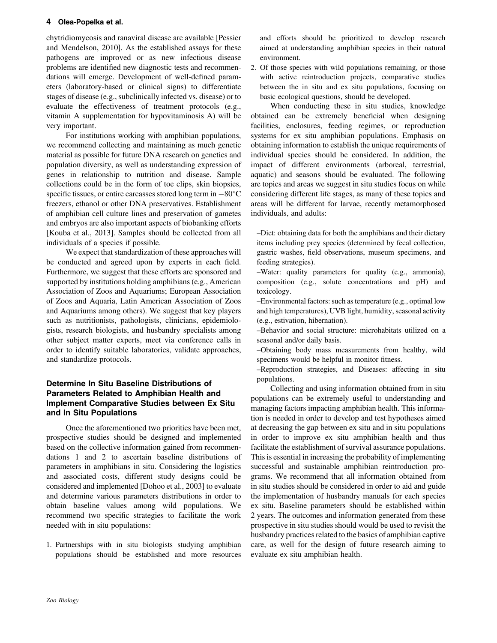chytridiomycosis and ranaviral disease are available [Pessier and Mendelson, 2010]. As the established assays for these pathogens are improved or as new infectious disease problems are identified new diagnostic tests and recommendations will emerge. Development of well‐defined parameters (laboratory‐based or clinical signs) to differentiate stages of disease (e.g., subclinically infected vs. disease) or to evaluate the effectiveness of treatment protocols (e.g., vitamin A supplementation for hypovitaminosis A) will be very important.

For institutions working with amphibian populations, we recommend collecting and maintaining as much genetic material as possible for future DNA research on genetics and population diversity, as well as understanding expression of genes in relationship to nutrition and disease. Sample collections could be in the form of toe clips, skin biopsies, specific tissues, or entire carcasses stored long term in  $-80^{\circ}$ C freezers, ethanol or other DNA preservatives. Establishment of amphibian cell culture lines and preservation of gametes and embryos are also important aspects of biobanking efforts [Kouba et al., 2013]. Samples should be collected from all individuals of a species if possible.

We expect that standardization of these approaches will be conducted and agreed upon by experts in each field. Furthermore, we suggest that these efforts are sponsored and supported by institutions holding amphibians (e.g., American Association of Zoos and Aquariums; European Association of Zoos and Aquaria, Latin American Association of Zoos and Aquariums among others). We suggest that key players such as nutritionists, pathologists, clinicians, epidemiologists, research biologists, and husbandry specialists among other subject matter experts, meet via conference calls in order to identify suitable laboratories, validate approaches, and standardize protocols.

## Determine In Situ Baseline Distributions of Parameters Related to Amphibian Health and Implement Comparative Studies between Ex Situ and In Situ Populations

Once the aforementioned two priorities have been met, prospective studies should be designed and implemented based on the collective information gained from recommendations 1 and 2 to ascertain baseline distributions of parameters in amphibians in situ. Considering the logistics and associated costs, different study designs could be considered and implemented [Dohoo et al., 2003] to evaluate and determine various parameters distributions in order to obtain baseline values among wild populations. We recommend two specific strategies to facilitate the work needed with in situ populations:

1. Partnerships with in situ biologists studying amphibian populations should be established and more resources and efforts should be prioritized to develop research aimed at understanding amphibian species in their natural environment.

2. Of those species with wild populations remaining, or those with active reintroduction projects, comparative studies between the in situ and ex situ populations, focusing on basic ecological questions, should be developed.

When conducting these in situ studies, knowledge obtained can be extremely beneficial when designing facilities, enclosures, feeding regimes, or reproduction systems for ex situ amphibian populations. Emphasis on obtaining information to establish the unique requirements of individual species should be considered. In addition, the impact of different environments (arboreal, terrestrial, aquatic) and seasons should be evaluated. The following are topics and areas we suggest in situ studies focus on while considering different life stages, as many of these topics and areas will be different for larvae, recently metamorphosed individuals, and adults:

–Diet: obtaining data for both the amphibians and their dietary items including prey species (determined by fecal collection, gastric washes, field observations, museum specimens, and feeding strategies).

–Water: quality parameters for quality (e.g., ammonia), composition (e.g., solute concentrations and pH) and toxicology.

–Environmental factors: such as temperature (e.g., optimal low and high temperatures), UVB light, humidity, seasonal activity (e.g., estivation, hibernation).

–Behavior and social structure: microhabitats utilized on a seasonal and/or daily basis.

–Obtaining body mass measurements from healthy, wild specimens would be helpful in monitor fitness.

–Reproduction strategies, and Diseases: affecting in situ populations.

Collecting and using information obtained from in situ populations can be extremely useful to understanding and managing factors impacting amphibian health. This information is needed in order to develop and test hypotheses aimed at decreasing the gap between ex situ and in situ populations in order to improve ex situ amphibian health and thus facilitate the establishment of survival assurance populations. This is essential in increasing the probability of implementing successful and sustainable amphibian reintroduction programs. We recommend that all information obtained from in situ studies should be considered in order to aid and guide the implementation of husbandry manuals for each species ex situ. Baseline parameters should be established within 2 years. The outcomes and information generated from these prospective in situ studies should would be used to revisit the husbandry practices related to the basics of amphibian captive care, as well for the design of future research aiming to evaluate ex situ amphibian health.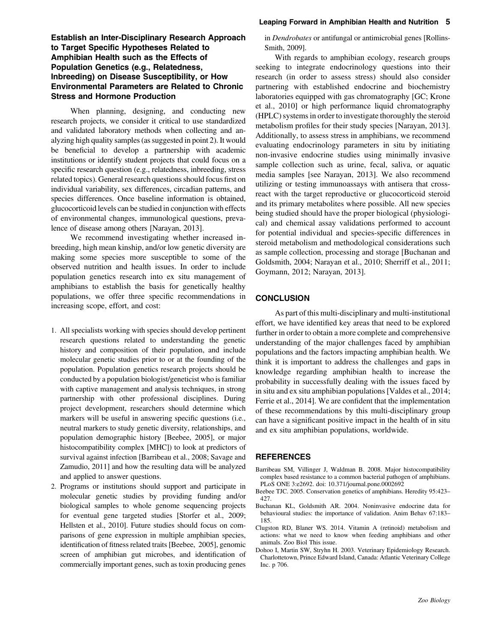#### Establish an Inter‐Disciplinary Research Approach to Target Specific Hypotheses Related to Amphibian Health such as the Effects of Population Genetics (e.g., Relatedness, Inbreeding) on Disease Susceptibility, or How Environmental Parameters are Related to Chronic Stress and Hormone Production

When planning, designing, and conducting new research projects, we consider it critical to use standardized and validated laboratory methods when collecting and analyzing high quality samples (as suggested in point 2). It would be beneficial to develop a partnership with academic institutions or identify student projects that could focus on a specific research question (e.g., relatedness, inbreeding, stress related topics). General research questions should focus first on individual variability, sex differences, circadian patterns, and species differences. Once baseline information is obtained, glucocorticoid levels can be studied in conjunction with effects of environmental changes, immunological questions, prevalence of disease among others [Narayan, 2013].

We recommend investigating whether increased inbreeding, high mean kinship, and/or low genetic diversity are making some species more susceptible to some of the observed nutrition and health issues. In order to include population genetics research into ex situ management of amphibians to establish the basis for genetically healthy populations, we offer three specific recommendations in increasing scope, effort, and cost:

- 1. All specialists working with species should develop pertinent research questions related to understanding the genetic history and composition of their population, and include molecular genetic studies prior to or at the founding of the population. Population genetics research projects should be conducted by a population biologist/geneticist who is familiar with captive management and analysis techniques, in strong partnership with other professional disciplines. During project development, researchers should determine which markers will be useful in answering specific questions (i.e., neutral markers to study genetic diversity, relationships, and population demographic history [Beebee, 2005], or major histocompatibility complex [MHC]) to look at predictors of survival against infection [Barribeau et al., 2008; Savage and Zamudio, 2011] and how the resulting data will be analyzed and applied to answer questions.
- 2. Programs or institutions should support and participate in molecular genetic studies by providing funding and/or biological samples to whole genome sequencing projects for eventual gene targeted studies [Storfer et al., 2009; Hellsten et al., 2010]. Future studies should focus on comparisons of gene expression in multiple amphibian species, identification of fitness related traits [Beebee, 2005], genomic screen of amphibian gut microbes, and identification of commercially important genes, such as toxin producing genes

## Leaping Forward in Amphibian Health and Nutrition 5

in *Dendrobates* or antifungal or antimicrobial genes [Rollins-Smith, 2009].

With regards to amphibian ecology, research groups seeking to integrate endocrinology questions into their research (in order to assess stress) should also consider partnering with established endocrine and biochemistry laboratories equipped with gas chromatography [GC; Krone et al., 2010] or high performance liquid chromatography (HPLC) systems in order to investigate thoroughly the steroid metabolism profiles for their study species [Narayan, 2013]. Additionally, to assess stress in amphibians, we recommend evaluating endocrinology parameters in situ by initiating non‐invasive endocrine studies using minimally invasive sample collection such as urine, fecal, saliva, or aquatic media samples [see Narayan, 2013]. We also recommend utilizing or testing immunoassays with antisera that cross‐ react with the target reproductive or glucocorticoid steroid and its primary metabolites where possible. All new species being studied should have the proper biological (physiological) and chemical assay validations performed to account for potential individual and species‐specific differences in steroid metabolism and methodological considerations such as sample collection, processing and storage [Buchanan and Goldsmith, 2004; Narayan et al., 2010; Sherriff et al., 2011; Goymann, 2012; Narayan, 2013].

#### **CONCLUSION**

As part of this multi‐disciplinary and multi‐institutional effort, we have identified key areas that need to be explored further in order to obtain a more complete and comprehensive understanding of the major challenges faced by amphibian populations and the factors impacting amphibian health. We think it is important to address the challenges and gaps in knowledge regarding amphibian health to increase the probability in successfully dealing with the issues faced by in situ and ex situ amphibian populations [Valdes et al., 2014; Ferrie et al., 2014]. We are confident that the implementation of these recommendations by this multi‐disciplinary group can have a significant positive impact in the health of in situ and ex situ amphibian populations, worldwide.

#### **REFERENCES**

- Barribeau SM, Villinger J, Waldman B. 2008. Major histocompatibility complex based resistance to a common bacterial pathogen of amphibians. PLoS ONE 3:e2692. doi: 10.371/journal.pone.0002692
- Beebee TJC. 2005. Conservation genetics of amphibians. Heredity 95:423– 427.
- Buchanan KL, Goldsmith AR. 2004. Noninvasive endocrine data for behavioural studies: the importance of validation. Anim Behav 67:183– 185.
- Clugston RD, Blaner WS. 2014. Vitamin A (retinoid) metabolism and actions: what we need to know when feeding amphibians and other animals. Zoo Biol This issue.
- Dohoo I, Martin SW, Stryhn H. 2003. Veterinary Epidemiology Research. Charlottetown, Prince Edward Island, Canada: Atlantic Veterinary College Inc. p 706.